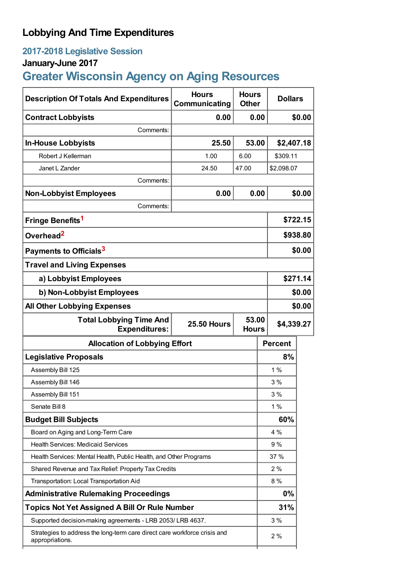# **Lobbying And Time Expenditures**

# **2017-2018 Legislative Session**

# **January-June 2017**

# **Greater Wisconsin Agency on Aging Resources**

| <b>Description Of Totals And Expenditures</b>                                                         | <b>Hours</b><br>Communicating | <b>Hours</b><br><b>Other</b> | <b>Dollars</b> |          |
|-------------------------------------------------------------------------------------------------------|-------------------------------|------------------------------|----------------|----------|
| <b>Contract Lobbyists</b>                                                                             | 0.00                          | 0.00                         |                | \$0.00   |
| Comments:                                                                                             |                               |                              |                |          |
| <b>In-House Lobbyists</b>                                                                             | 25.50                         | 53.00                        | \$2,407.18     |          |
| Robert J Kellerman                                                                                    | 1.00                          | 6.00                         | \$309.11       |          |
| Janet L Zander                                                                                        | 24.50                         | 47.00                        | \$2,098.07     |          |
| Comments:                                                                                             |                               |                              |                |          |
| <b>Non-Lobbyist Employees</b>                                                                         | 0.00                          | 0.00                         |                | \$0.00   |
| Comments:                                                                                             |                               |                              |                |          |
| Fringe Benefits <sup>1</sup>                                                                          |                               |                              |                | \$722.15 |
| Overhead <sup>2</sup>                                                                                 |                               |                              | \$938.80       |          |
| Payments to Officials <sup>3</sup>                                                                    |                               |                              |                | \$0.00   |
| <b>Travel and Living Expenses</b>                                                                     |                               |                              |                |          |
| a) Lobbyist Employees                                                                                 |                               |                              |                | \$271.14 |
| b) Non-Lobbyist Employees                                                                             |                               |                              |                | \$0.00   |
| <b>All Other Lobbying Expenses</b>                                                                    |                               |                              | \$0.00         |          |
| 53.00<br><b>Total Lobbying Time And</b><br><b>25.50 Hours</b><br><b>Expenditures:</b><br><b>Hours</b> |                               |                              | \$4,339.27     |          |
| <b>Allocation of Lobbying Effort</b>                                                                  |                               |                              | <b>Percent</b> |          |
| <b>Legislative Proposals</b>                                                                          |                               |                              | 8%             |          |
| Assembly Bill 125                                                                                     |                               |                              | 1%             |          |
| Assembly Bill 146                                                                                     |                               |                              | 3%             |          |
| Assembly Bill 151                                                                                     |                               |                              | 3 %            |          |
| Senate Bill 8                                                                                         |                               |                              | 1%             |          |
| <b>Budget Bill Subjects</b>                                                                           |                               |                              | 60%            |          |
| Board on Aging and Long-Term Care                                                                     |                               |                              | 4 %            |          |
| <b>Health Services: Medicaid Services</b>                                                             |                               |                              | 9%             |          |
| Health Services: Mental Health, Public Health, and Other Programs                                     |                               |                              | 37 %           |          |
| Shared Revenue and Tax Relief: Property Tax Credits                                                   |                               |                              | 2%             |          |
| Transportation: Local Transportation Aid                                                              |                               |                              | 8 %            |          |
| <b>Administrative Rulemaking Proceedings</b>                                                          |                               |                              | $0\%$          |          |
| <b>Topics Not Yet Assigned A Bill Or Rule Number</b>                                                  |                               |                              | 31%            |          |
| Supported decision-making agreements - LRB 2053/ LRB 4637.                                            |                               |                              | 3%             |          |
| Strategies to address the long-term care direct care workforce crisis and<br>appropriations.          |                               |                              | 2%             |          |